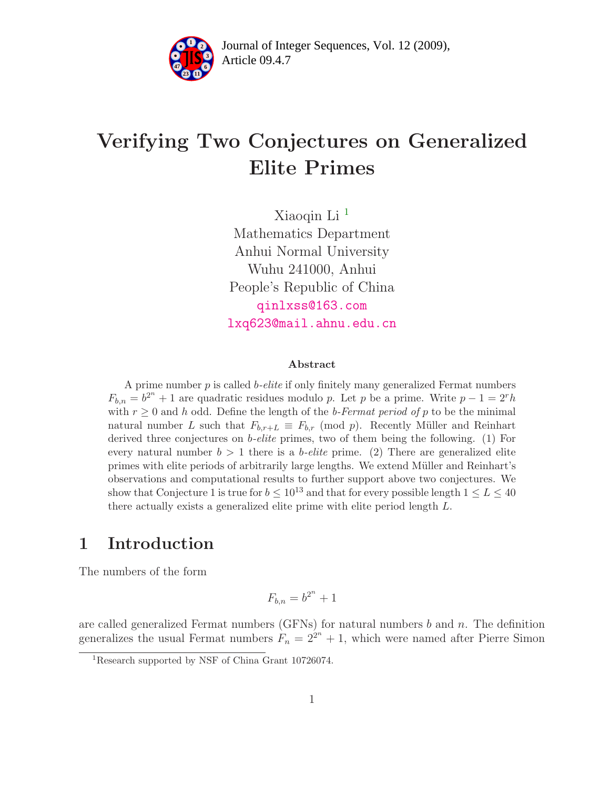

# Verifying Two Conjectures on Generalized Elite Primes

Xiaoqin Li [1](#page-0-0) Mathematics Department Anhui Normal University Wuhu 241000, Anhui People's Republic of China [qinlxss@163.com](mailto:qinlxss@163.com) [lxq623@mail.ahnu.edu.cn](mailto:lxq623@mail.ahnu.edu.cn )

#### Abstract

A prime number  $p$  is called  $b$ -elite if only finitely many generalized Fermat numbers  $F_{b,n} = b^{2^n} + 1$  are quadratic residues modulo p. Let p be a prime. Write  $p - 1 = 2^r h$ with  $r \geq 0$  and h odd. Define the length of the b-Fermat period of p to be the minimal natural number L such that  $F_{b,r+L} \equiv F_{b,r} \pmod{p}$ . Recently Müller and Reinhart derived three conjectures on b-elite primes, two of them being the following. (1) For every natural number  $b > 1$  there is a *b-elite* prime. (2) There are generalized elite primes with elite periods of arbitrarily large lengths. We extend Müller and Reinhart's observations and computational results to further support above two conjectures. We show that Conjecture 1 is true for  $b \leq 10^{13}$  and that for every possible length  $1 \leq L \leq 40$ there actually exists a generalized elite prime with elite period length L.

# 1 Introduction

The numbers of the form

$$
F_{b,n} = b^{2^n} + 1
$$

<span id="page-0-0"></span>are called generalized Fermat numbers (GFNs) for natural numbers  $b$  and  $n$ . The definition generalizes the usual Fermat numbers  $F_n = 2^{2^n} + 1$ , which were named after Pierre Simon

<sup>1</sup>Research supported by NSF of China Grant 10726074.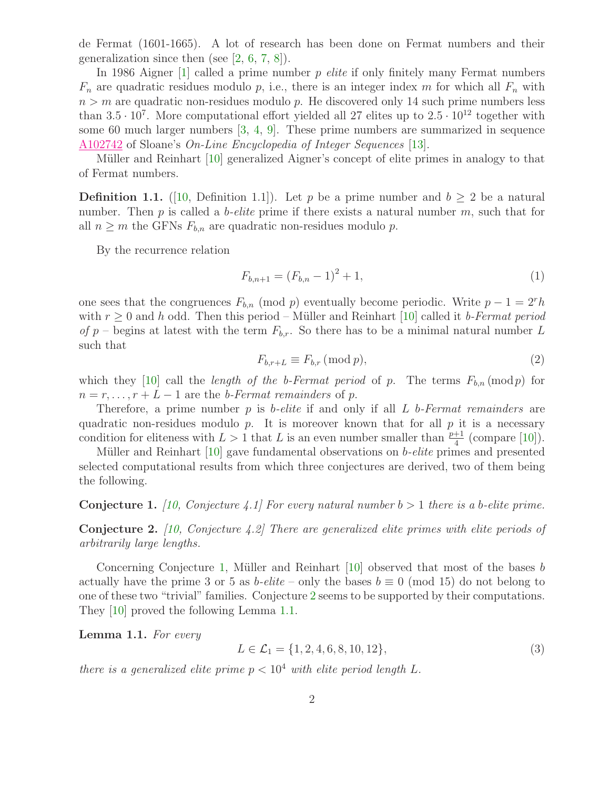de Fermat (1601-1665). A lot of research has been done on Fermat numbers and their generalization since then (see  $[2, 6, 7, 8]$  $[2, 6, 7, 8]$  $[2, 6, 7, 8]$  $[2, 6, 7, 8]$  $[2, 6, 7, 8]$  $[2, 6, 7, 8]$ ).

In 1986 Aigner  $[1]$  called a prime number p *elite* if only finitely many Fermat numbers  $F_n$  are quadratic residues modulo p, i.e., there is an integer index m for which all  $F_n$  with  $n > m$  are quadratic non-residues modulo p. He discovered only 14 such prime numbers less than  $3.5 \cdot 10^7$ . More computational effort yielded all 27 elites up to  $2.5 \cdot 10^{12}$  together with some 60 much larger numbers [\[3,](#page-11-2) [4,](#page-11-3) [9\]](#page-12-3). These prime numbers are summarized in sequence [A102742](http://www.research.att.com/cgi-bin/access.cgi/as/~njas/sequences/eisA.cgi?Anum=A102742) of Sloane's On-Line Encyclopedia of Integer Sequences [\[13\]](#page-12-4).

Müller and Reinhart [\[10\]](#page-12-5) generalized Aigner's concept of elite primes in analogy to that of Fermat numbers.

**Definition 1.1.** ([\[10,](#page-12-5) Definition 1.1]). Let p be a prime number and  $b \ge 2$  be a natural number. Then p is called a b-elite prime if there exists a natural number  $m$ , such that for all  $n \geq m$  the GFNs  $F_{b,n}$  are quadratic non-residues modulo p.

By the recurrence relation

<span id="page-1-3"></span>
$$
F_{b,n+1} = (F_{b,n} - 1)^2 + 1,\tag{1}
$$

<span id="page-1-4"></span>one sees that the congruences  $F_{b,n}$  (mod p) eventually become periodic. Write  $p-1=2<sup>r</sup>h$ with  $r \geq 0$  and h odd. Then this period – Müller and Reinhart [\[10\]](#page-12-5) called it b-Fermat period of p – begins at latest with the term  $F_{b,r}$ . So there has to be a minimal natural number L such that

$$
F_{b,r+L} \equiv F_{b,r} \pmod{p},\tag{2}
$$

which they [\[10\]](#page-12-5) call the length of the b-Fermat period of p. The terms  $F_{b,n}(\text{mod }p)$  for  $n = r, \ldots, r + L - 1$  are the *b*-Fermat remainders of p.

Therefore, a prime number  $p$  is *b*-elite if and only if all  $L$  *b*-Fermat remainders are quadratic non-residues modulo p. It is moreover known that for all p it is a necessary condition for eliteness with  $L > 1$  that L is an even number smaller than  $\frac{p+1}{4}$  (compare [\[10\]](#page-12-5)).

Müller and Reinhart  $[10]$  gave fundamental observations on b-elite primes and presented selected computational results from which three conjectures are derived, two of them being the following.

<span id="page-1-1"></span><span id="page-1-0"></span>**Conjecture 1.** [\[10,](#page-12-5) Conjecture 4.1] For every natural number  $b > 1$  there is a b-elite prime.

Conjecture 2. [\[10,](#page-12-5) Conjecture 4.2] There are generalized elite primes with elite periods of arbitrarily large lengths.

Concerning Conjecture [1,](#page-1-0) Müller and Reinhart  $[10]$  observed that most of the bases b actually have the prime 3 or 5 as *b-elite* – only the bases  $b \equiv 0 \pmod{15}$  do not belong to one of these two "trivial" families. Conjecture [2](#page-1-1) seems to be supported by their computations. They [\[10\]](#page-12-5) proved the following Lemma [1.1.](#page-1-2)

<span id="page-1-5"></span><span id="page-1-2"></span>Lemma 1.1. For every

$$
L \in \mathcal{L}_1 = \{1, 2, 4, 6, 8, 10, 12\},\tag{3}
$$

there is a generalized elite prime  $p < 10^4$  with elite period length L.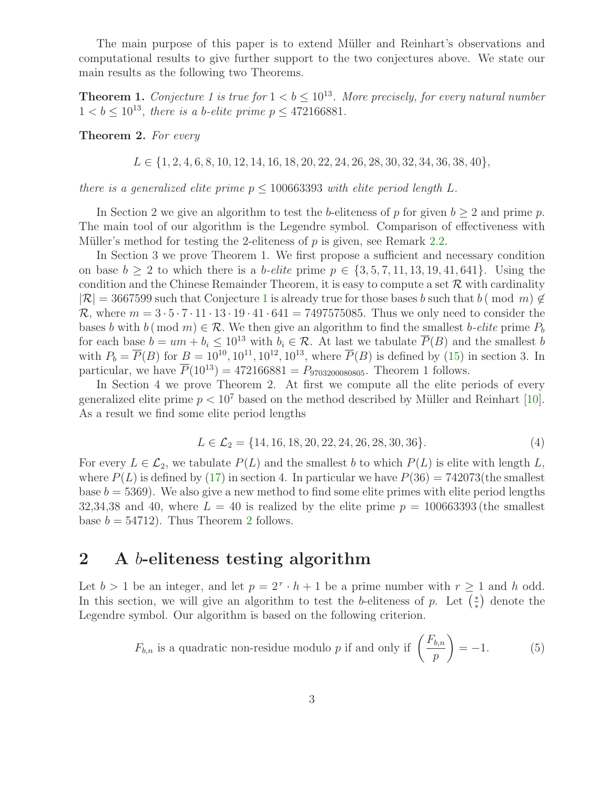The main purpose of this paper is to extend Müller and Reinhart's observations and computational results to give further support to the two conjectures above. We state our main results as the following two Theorems.

<span id="page-2-2"></span>**Theorem 1.** Conjecture 1 is true for  $1 < b \leq 10^{13}$ . More precisely, for every natural number  $1 < b < 10^{13}$ , there is a b-elite prime  $p < 472166881$ .

<span id="page-2-0"></span>Theorem 2. For every

 $L \in \{1, 2, 4, 6, 8, 10, 12, 14, 16, 18, 20, 22, 24, 26, 28, 30, 32, 34, 36, 38, 40\},\$ 

there is a generalized elite prime  $p \leq 100663393$  with elite period length L.

In Section 2 we give an algorithm to test the b-eliteness of p for given  $b \geq 2$  and prime p. The main tool of our algorithm is the Legendre symbol. Comparison of effectiveness with Müller's method for testing the 2-eliteness of  $p$  is given, see Remark [2.2.](#page-3-0)

In Section 3 we prove Theorem 1. We first propose a sufficient and necessary condition on base  $b \geq 2$  to which there is a *b-elite* prime  $p \in \{3, 5, 7, 11, 13, 19, 41, 641\}$ . Using the condition and the Chinese Remainder Theorem, it is easy to compute a set  $\mathcal R$  with cardinality  $|\mathcal{R}| = 3667599$  such that Conjecture [1](#page-1-0) is already true for those bases b such that b ( mod m)  $\notin$ R, where  $m = 3 \cdot 5 \cdot 7 \cdot 11 \cdot 13 \cdot 19 \cdot 41 \cdot 641 = 7497575085$ . Thus we only need to consider the bases b with  $b \pmod{m} \in \mathcal{R}$ . We then give an algorithm to find the smallest b-elite prime  $P_b$ for each base  $b = um + b_i \leq 10^{13}$  with  $b_i \in \mathcal{R}$ . At last we tabulate  $\overline{P}(B)$  and the smallest b with  $P_b = \overline{P}(B)$  for  $B = 10^{10}, 10^{11}, 10^{12}, 10^{13}$ , where  $\overline{P}(B)$  is defined by [\(15\)](#page-6-0) in section 3. In particular, we have  $P(10^{13}) = 472166881 = P_{9703200080805}$ . Theorem 1 follows.

<span id="page-2-3"></span>In Section 4 we prove Theorem 2. At first we compute all the elite periods of every generalized elite prime  $p < 10^7$  based on the method described by Müller and Reinhart [\[10\]](#page-12-5). As a result we find some elite period lengths

<span id="page-2-1"></span>
$$
L \in \mathcal{L}_2 = \{14, 16, 18, 20, 22, 24, 26, 28, 30, 36\}.
$$
\n
$$
(4)
$$

For every  $L \in \mathcal{L}_2$ , we tabulate  $P(L)$  and the smallest b to which  $P(L)$  is elite with length L, where  $P(L)$  is defined by [\(17\)](#page-7-0) in section 4. In particular we have  $P(36) = 742073$  (the smallest base  $b = 5369$ . We also give a new method to find some elite primes with elite period lengths 32,34,38 and 40, where  $L = 40$  is realized by the elite prime  $p = 100663393$  (the smallest base  $b = 54712$  $b = 54712$ . Thus Theorem 2 follows.

### 2 A b-eliteness testing algorithm

Let  $b > 1$  be an integer, and let  $p = 2^r \cdot h + 1$  be a prime number with  $r \ge 1$  and h odd. In this section, we will give an algorithm to test the b-eliteness of p. Let  $(\frac{*}{*})$ ∗ denote the Legendre symbol. Our algorithm is based on the following criterion.

$$
F_{b,n} \text{ is a quadratic non-residue modulo } p \text{ if and only if } \left(\frac{F_{b,n}}{p}\right) = -1. \tag{5}
$$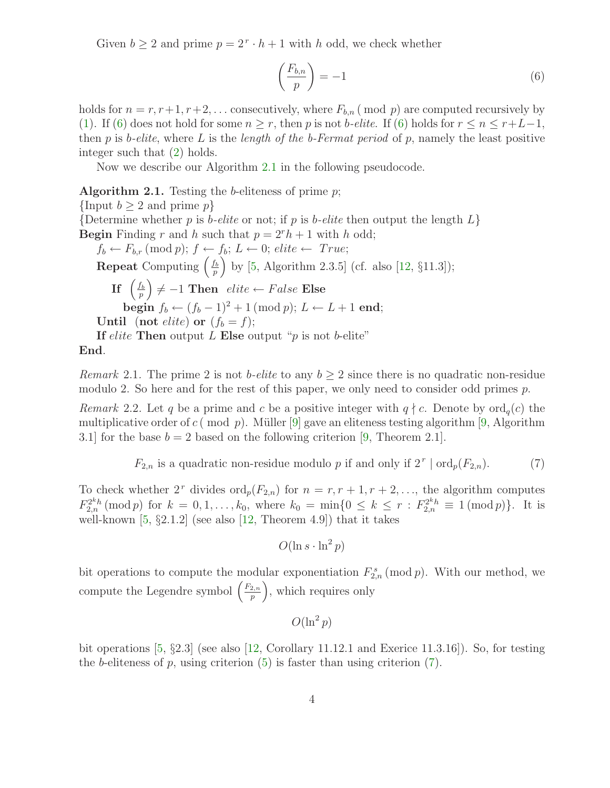Given  $b \geq 2$  and prime  $p = 2^r \cdot h + 1$  with h odd, we check whether

<span id="page-3-1"></span>
$$
\left(\frac{F_{b,n}}{p}\right) = -1\tag{6}
$$

holds for  $n = r, r+1, r+2,...$  consecutively, where  $F_{b,n}$  (mod p) are computed recursively by [\(1\)](#page-1-3). If [\(6\)](#page-3-1) does not hold for some  $n \geq r$ , then p is not b-elite. If (6) holds for  $r \leq n \leq r+L-1$ , then p is b-elite, where L is the length of the b-Fermat period of p, namely the least positive integer such that [\(2\)](#page-1-4) holds.

Now we describe our Algorithm [2.1](#page-3-2) in the following pseudocode.

#### <span id="page-3-2"></span>**Algorithm 2.1.** Testing the b-eliteness of prime  $p$ ;

{Input  $b \geq 2$  and prime  $p$ } {Determine whether p is b-elite or not; if p is b-elite then output the length  $L$ } **Begin** Finding r and h such that  $p = 2^rh + 1$  with h odd;  $f_b \leftarrow F_{b,r} \text{ (mod } p); f \leftarrow f_b; L \leftarrow 0; \text{elite} \leftarrow True;$ **Repeat** Computing  $\left(\frac{f_b}{n}\right)$  $\frac{f_b}{p}$  by [\[5,](#page-11-4) Algorithm 2.3.5] (cf. also [\[12,](#page-12-6) §11.3]); If  $\left(\frac{f_b}{n}\right)$  $\left(\frac{f_b}{p}\right) \neq -1 \text{ Then } \text{ \textit{elite}} \leftarrow \textit{False} \text{ \textbf{Else}}$ begin  $f_b \leftarrow (f_b - 1)^2 + 1 \pmod{p}$ ;  $L \leftarrow L + 1$  end; Until (not *elite*) or  $(f_b = f);$ If elite Then output  $L$  Else output "p is not b-elite"

End.

Remark 2.1. The prime 2 is not b-elite to any  $b > 2$  since there is no quadratic non-residue modulo 2. So here and for the rest of this paper, we only need to consider odd primes  $p$ .

<span id="page-3-0"></span>Remark 2.2. Let q be a prime and c be a positive integer with  $q \nmid c$ . Denote by  $\text{ord}_q(c)$  the multiplicative order of c ( mod p). Müller [\[9\]](#page-12-3) gave an eliteness testing algorithm [\[9,](#page-12-3) Algorithm 3.1] for the base  $b = 2$  based on the following criterion [\[9,](#page-12-3) Theorem 2.1].

$$
F_{2,n}
$$
 is a quadratic non-residue modulo p if and only if  $2^r | \text{ord}_p(F_{2,n})$ . (7)

To check whether  $2^r$  divides ord<sub>p</sub> $(F_{2,n})$  for  $n = r, r + 1, r + 2, \ldots$ , the algorithm computes  $F_{2,n}^{2^k h}(\text{mod } p)$  for  $k = 0, 1, ..., k_0$ , where  $k_0 = \min\{0 \le k \le r : F_{2,n}^{2^k h} \equiv 1(\text{mod } p)\}\.$  It is well-known  $[5, §2.1.2]$  (see also  $[12, Theorem 4.9]$ ) that it takes

<span id="page-3-3"></span>
$$
O(\ln s \cdot \ln^2 p)
$$

bit operations to compute the modular exponentiation  $F_{2,n}^s \pmod{p}$ . With our method, we compute the Legendre symbol  $\left(\frac{F_{2,n}}{n}\right)$  $\binom{\frac{1}{2,n}}{p}$ , which requires only

 $O(\ln^2 p)$ 

bit operations  $[5, §2.3]$  (see also [\[12,](#page-12-6) Corollary 11.12.1 and Exerice 11.3.16]). So, for testing the b-eliteness of p, using criterion  $(5)$  is faster than using criterion  $(7)$ .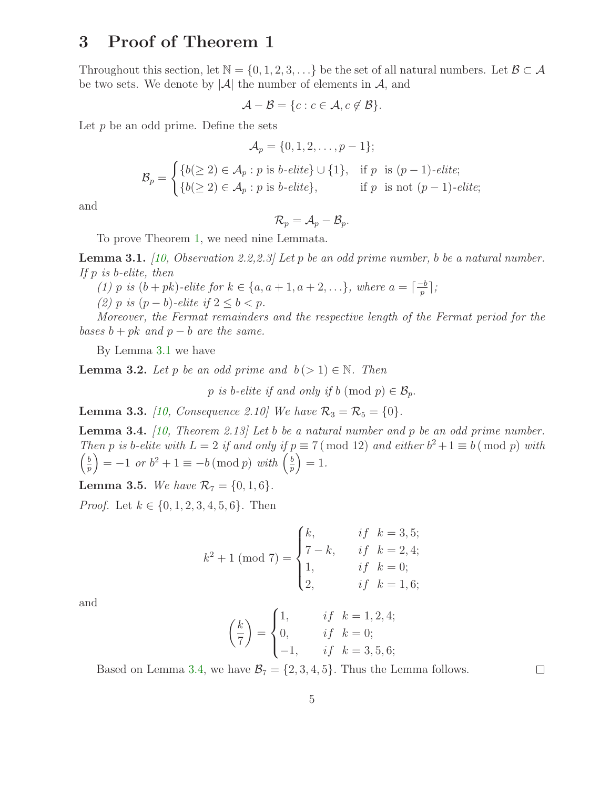# 3 Proof of Theorem 1

Throughout this section, let  $\mathbb{N} = \{0, 1, 2, 3, \ldots\}$  be the set of all natural numbers. Let  $\mathcal{B} \subset \mathcal{A}$ be two sets. We denote by  $|\mathcal{A}|$  the number of elements in  $\mathcal{A}$ , and

$$
\mathcal{A} - \mathcal{B} = \{c : c \in \mathcal{A}, c \notin \mathcal{B}\}.
$$

Let  $p$  be an odd prime. Define the sets

$$
\mathcal{A}_p = \{0, 1, 2, \dots, p-1\};
$$
\n
$$
\mathcal{B}_p = \begin{cases} \{b(\geq 2) \in \mathcal{A}_p : p \text{ is } b \text{-elite} \} \cup \{1\}, & \text{if } p \text{ is } (p-1)\text{-elite};\\ \{b(\geq 2) \in \mathcal{A}_p : p \text{ is } b \text{-elite}\}, & \text{if } p \text{ is not } (p-1)\text{-elite}; \end{cases}
$$

and

$$
\mathcal{R}_p = \mathcal{A}_p - \mathcal{B}_p.
$$

To prove Theorem [1,](#page-2-2) we need nine Lemmata.

<span id="page-4-0"></span>**Lemma 3.1.** [\[10,](#page-12-5) Observation 2.2,2.3] Let p be an odd prime number, b be a natural number. If p is b-elite, then

(1) p is  $(b + pk)$ -elite for  $k \in \{a, a + 1, a + 2, ...\}$ , where  $a = \lceil \frac{-b}{n} \rceil$  $\frac{-b}{p}$ ];

(2) p is  $(p - b)$ -elite if  $2 \le b < p$ .

Moreover, the Fermat remainders and the respective length of the Fermat period for the bases  $b + pk$  and  $p - b$  are the same.

By Lemma [3.1](#page-4-0) we have

<span id="page-4-2"></span>**Lemma 3.2.** Let p be an odd prime and  $b (> 1) \in \mathbb{N}$ . Then

p is b-elite if and only if b (mod p)  $\in \mathcal{B}_n$ .

<span id="page-4-1"></span>**Lemma 3.3.** [\[10,](#page-12-5) Consequence 2.10] We have  $\mathcal{R}_3 = \mathcal{R}_5 = \{0\}.$ 

**Lemma 3.4.** [\[10,](#page-12-5) Theorem 2.13] Let b be a natural number and p be an odd prime number. Then p is b-elite with  $L = 2$  if and only if  $p \equiv 7 \pmod{12}$  and either  $b^2 + 1 \equiv b \pmod{p}$  with  $\left(\frac{b}{2}\right)$  $\left(\frac{b}{p}\right) = -1$  or  $b^2 + 1 \equiv -b \pmod{p}$  with  $\left(\frac{b}{p}\right)$  $\left(\frac{b}{p}\right) = 1.$ 

**Lemma 3.5.** We have  $\mathcal{R}_7 = \{0, 1, 6\}$ .

*Proof.* Let  $k \in \{0, 1, 2, 3, 4, 5, 6\}$ . Then

$$
k^{2} + 1 \text{ (mod 7)} = \begin{cases} k, & if \ k = 3, 5; \\ 7 - k, & if \ k = 2, 4; \\ 1, & if \ k = 0; \\ 2, & if \ k = 1, 6; \end{cases}
$$

and

$$
\binom{k}{7} = \begin{cases} 1, & if \ k = 1, 2, 4; \\ 0, & if \ k = 0; \\ -1, & if \ k = 3, 5, 6; \end{cases}
$$

Based on Lemma [3.4,](#page-4-1) we have  $\mathcal{B}_7 = \{2, 3, 4, 5\}$ . Thus the Lemma follows.

 $\Box$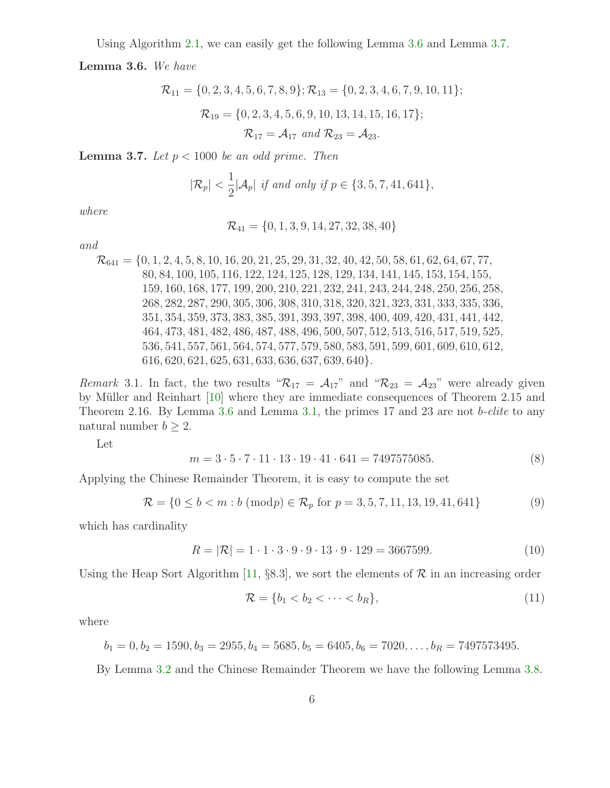<span id="page-5-0"></span>Using Algorithm [2.1,](#page-3-2) we can easily get the following Lemma [3.6](#page-5-0) and Lemma [3.7.](#page-5-1) Lemma 3.6. We have

$$
\mathcal{R}_{11} = \{0, 2, 3, 4, 5, 6, 7, 8, 9\}; \mathcal{R}_{13} = \{0, 2, 3, 4, 6, 7, 9, 10, 11\};
$$

$$
\mathcal{R}_{19} = \{0, 2, 3, 4, 5, 6, 9, 10, 13, 14, 15, 16, 17\};
$$

$$
\mathcal{R}_{17} = \mathcal{A}_{17} \text{ and } \mathcal{R}_{23} = \mathcal{A}_{23}.
$$

<span id="page-5-1"></span>**Lemma 3.7.** Let  $p < 1000$  be an odd prime. Then

$$
|\mathcal{R}_p| < \frac{1}{2} |\mathcal{A}_p|
$$
 if and only if  $p \in \{3, 5, 7, 41, 641\}$ ,

where

$$
\mathcal{R}_{41} = \{0, 1, 3, 9, 14, 27, 32, 38, 40\}
$$

and

 $\mathcal{R}_{641} = \{0, 1, 2, 4, 5, 8, 10, 16, 20, 21, 25, 29, 31, 32, 40, 42, 50, 58, 61, 62, 64, 67, 77,$ , 84, 100, 105, 116, 122, 124, 125, 128, 129, 134, 141, 145, 153, 154, 155, , 160, 168, 177, 199, 200, 210, 221, 232, 241, 243, 244, 248, 250, 256, 258, , 282, 287, 290, 305, 306, 308, 310, 318, 320, 321, 323, 331, 333, 335, 336, , 354, 359, 373, 383, 385, 391, 393, 397, 398, 400, 409, 420, 431, 441, 442, , 473, 481, 482, 486, 487, 488, 496, 500, 507, 512, 513, 516, 517, 519, 525, , 541, 557, 561, 564, 574, 577, 579, 580, 583, 591, 599, 601, 609, 610, 612, , 620, 621, 625, 631, 633, 636, 637, 639, 640}.

Remark 3.1. In fact, the two results " $\mathcal{R}_{17} = \mathcal{A}_{17}$ " and " $\mathcal{R}_{23} = \mathcal{A}_{23}$ " were already given by Müller and Reinhart [\[10\]](#page-12-5) where they are immediate consequences of Theorem 2.15 and Theorem 2.16. By Lemma [3.6](#page-5-0) and Lemma [3.1,](#page-4-0) the primes 17 and 23 are not b-elite to any natural number  $b \geq 2$ .

<span id="page-5-3"></span>Let

$$
m = 3 \cdot 5 \cdot 7 \cdot 11 \cdot 13 \cdot 19 \cdot 41 \cdot 641 = 7497575085.
$$
 (8)

Applying the Chinese Remainder Theorem, it is easy to compute the set

$$
\mathcal{R} = \{0 \le b < m : b \text{ (mod } p) \in \mathcal{R}_p \text{ for } p = 3, 5, 7, 11, 13, 19, 41, 641\} \tag{9}
$$

which has cardinality

$$
R = |\mathcal{R}| = 1 \cdot 1 \cdot 3 \cdot 9 \cdot 9 \cdot 13 \cdot 9 \cdot 129 = 3667599.
$$
 (10)

Using the Heap Sort Algorithm [\[11,](#page-12-7) §8.3], we sort the elements of  $\mathcal R$  in an increasing order

$$
\mathcal{R} = \{b_1 < b_2 < \dots < b_R\},\tag{11}
$$

<span id="page-5-2"></span>where

$$
b_1 = 0, b_2 = 1590, b_3 = 2955, b_4 = 5685, b_5 = 6405, b_6 = 7020, \dots, b_R = 7497573495.
$$

By Lemma [3.2](#page-4-2) and the Chinese Remainder Theorem we have the following Lemma [3.8.](#page-5-2)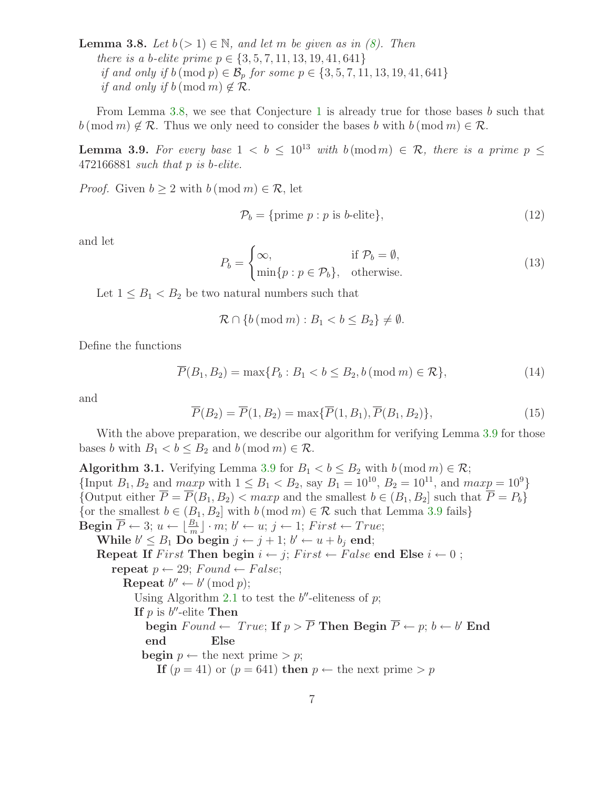**Lemma 3.8.** Let  $b (> 1) \in \mathbb{N}$ , and let m be given as in [\(8\)](#page-5-3). Then there is a b-elite prime  $p \in \{3, 5, 7, 11, 13, 19, 41, 641\}$ if and only if  $b \pmod{p} \in \mathcal{B}_p$  for some  $p \in \{3, 5, 7, 11, 13, 19, 41, 641\}$ if and only if  $b \pmod{m} \notin \mathcal{R}$ .

<span id="page-6-1"></span>From Lemma [3.8,](#page-5-2) we see that Conjecture [1](#page-1-0) is already true for those bases b such that  $b \pmod{m} \notin \mathcal{R}$ . Thus we only need to consider the bases b with  $b \pmod{m} \in \mathcal{R}$ .

**Lemma 3.9.** For every base  $1 < b \leq 10^{13}$  with  $b \pmod{m} \in \mathcal{R}$ , there is a prime  $p \leq$ 472166881 such that p is b-elite.

*Proof.* Given  $b \geq 2$  with  $b \pmod{m} \in \mathcal{R}$ , let

$$
\mathcal{P}_b = \{\text{prime } p : p \text{ is } b\text{-elite}\},\tag{12}
$$

and let

$$
P_b = \begin{cases} \infty, & \text{if } \mathcal{P}_b = \emptyset, \\ \min\{p : p \in \mathcal{P}_b\}, & \text{otherwise.} \end{cases}
$$
 (13)

Let  $1 \leq B_1 < B_2$  be two natural numbers such that

$$
\mathcal{R} \cap \{b \, (\text{mod } m) : B_1 < b \leq B_2\} \neq \emptyset.
$$

Define the functions

$$
\overline{P}(B_1, B_2) = \max\{P_b : B_1 < b \le B_2, b \pmod{m} \in \mathcal{R}\},\tag{14}
$$

<span id="page-6-0"></span>and

$$
\overline{P}(B_2) = \overline{P}(1, B_2) = \max{\{\overline{P}(1, B_1), \overline{P}(B_1, B_2)\}},
$$
\n(15)

With the above preparation, we describe our algorithm for verifying Lemma [3.9](#page-6-1) for those bases b with  $B_1 < b \le B_2$  and  $b \pmod{m} \in \mathcal{R}$ .

Algorithm 3.1. Verifying Lemma [3.9](#page-6-1) for  $B_1 < b \le B_2$  with  $b \pmod{m} \in \mathcal{R}$ ; {Input  $B_1, B_2$  and  $maxp$  with  $1 \le B_1 < B_2$ , say  $B_1 = 10^{10}, B_2 = 10^{11}$ , and  $maxp = 10^9$ } {Output either  $\overline{P} = \overline{P}(B_1, B_2)$  < maxp and the smallest  $b \in (B_1, B_2]$  such that  $\overline{P} = P_b$ } {or the smallest  $b \in (B_1, B_2]$  with  $b \pmod{m} \in \mathcal{R}$  such that Lemma [3.9](#page-6-1) fails} Begin  $\overline{P} \leftarrow 3$ ;  $u \leftarrow \lfloor \frac{B_1}{m} \rfloor \cdot m$ ;  $b' \leftarrow u$ ;  $j \leftarrow 1$ ; First  $\leftarrow True$ ; While  $b' \leq B_1$  Do begin  $j \leftarrow j + 1$ ;  $b' \leftarrow u + b_j$  end; Repeat If First Then begin  $i \leftarrow j$ ; First  $\leftarrow$  False end Else  $i \leftarrow 0$ ; repeat  $p \leftarrow 29$ ; Found  $\leftarrow$  False; Repeat  $b'' \leftarrow b' \pmod{p}$ ; Using Algorithm [2.1](#page-3-2) to test the  $b''$ -eliteness of  $p$ ; If  $p$  is  $b^{\prime\prime}$ -elite Then begin  $Found \leftarrow True;$  If  $p > \overline{P}$  Then Begin  $\overline{P} \leftarrow p; b \leftarrow b'$  End end Else **begin**  $p \leftarrow$  the next prime  $> p$ ; If  $(p = 41)$  or  $(p = 641)$  then  $p \leftarrow$  the next prime  $> p$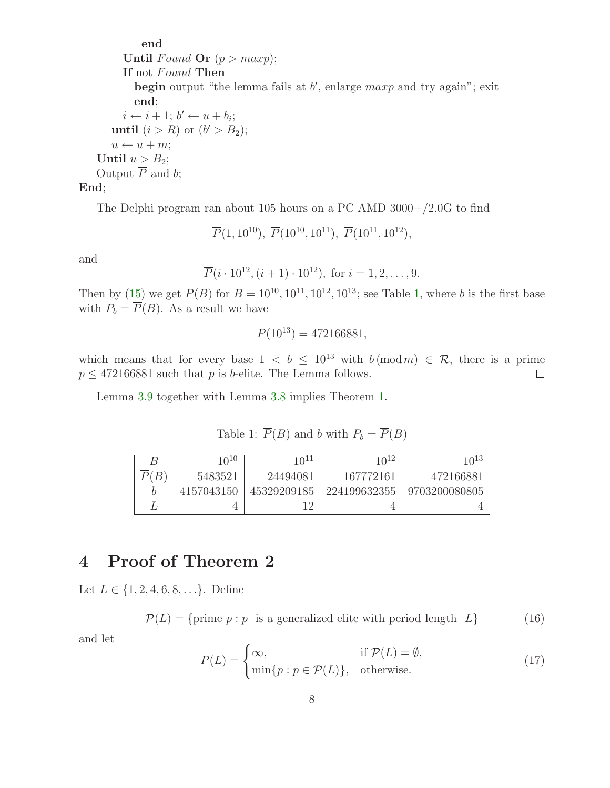end Until Found Or  $(p > maxp)$ ; If not Found Then **begin** output "the lemma fails at  $b'$ , enlarge  $maxp$  and try again"; exit end;  $i \leftarrow i+1; b' \leftarrow u+b_i;$ **until**  $(i > R)$  or  $(b' > B_2)$ ;  $u \leftarrow u + m;$ Until  $u > B_2$ ; Output  $\overline{P}$  and b;

#### End;

The Delphi program ran about 105 hours on a PC AMD 3000+/2.0G to find

$$
\overline{P}(1,10^{10}),\ \overline{P}(10^{10},10^{11}),\ \overline{P}(10^{11},10^{12}),
$$

and

$$
\overline{P}(i \cdot 10^{12}, (i+1) \cdot 10^{12}), \text{ for } i = 1, 2, \dots, 9.
$$

Then by [\(15\)](#page-6-0) we get  $\overline{P}(B)$  for  $B = 10^{10}, 10^{11}, 10^{12}, 10^{13}$ ; see Table [1,](#page-7-1) where b is the first base with  $P_b = \overline{P}(B)$ . As a result we have

$$
\overline{P}(10^{13}) = 472166881,
$$

which means that for every base  $1 < b \leq 10^{13}$  with  $b \pmod{m} \in \mathcal{R}$ , there is a prime  $p \leq 472166881$  such that p is b-elite. The Lemma follows.  $\Box$ 

Lemma [3.9](#page-6-1) together with Lemma [3.8](#page-5-2) implies Theorem [1.](#page-2-2)

<span id="page-7-1"></span>Table 1: 
$$
P(B)
$$
 and b with  $P_b = P(B)$ 

| 1010       | $10^{11}$   | 10 <sup>12</sup> | $10^{13}$     |
|------------|-------------|------------------|---------------|
| 5483521    | 24494081    | 167772161        | 472166881     |
| 4157043150 | 45329209185 | 224199632355     | 9703200080805 |
|            |             |                  |               |

# 4 Proof of Theorem 2

Let  $L \in \{1, 2, 4, 6, 8, \ldots\}$ . Define

$$
\mathcal{P}(L) = \{ \text{prime } p : p \text{ is a generalized elite with period length } L \}
$$
 (16)

<span id="page-7-0"></span>and let

$$
P(L) = \begin{cases} \infty, & \text{if } \mathcal{P}(L) = \emptyset, \\ \min\{p : p \in \mathcal{P}(L)\}, & \text{otherwise.} \end{cases}
$$
 (17)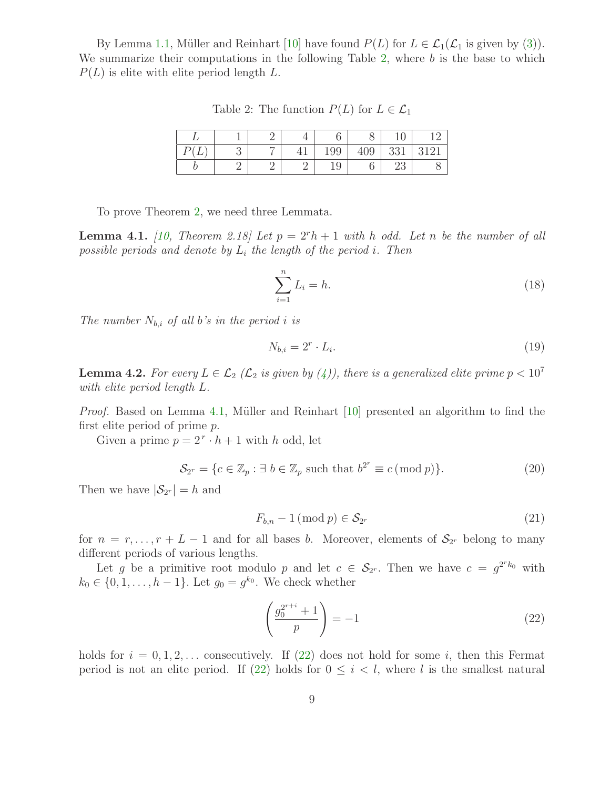By Lemma [1.1,](#page-1-2) Müller and Reinhart [\[10\]](#page-12-5) have found  $P(L)$  for  $L \in \mathcal{L}_1(\mathcal{L}_1)$  is given by [\(3\)](#page-1-5)). We summarize their computations in the following Table [2,](#page-8-0) where  $b$  is the base to which  $P(L)$  is elite with elite period length L.

<span id="page-8-0"></span>Table 2: The function  $P(L)$  for  $L \in \mathcal{L}_1$ 

|  | л. | ັ   | ◡   | ᆂ           |     |
|--|----|-----|-----|-------------|-----|
|  |    | 199 | 409 | 221<br>OO T | 101 |
|  |    | 19  | ◡   | ٠Ω<br>∠ປ    |     |

To prove Theorem [2,](#page-2-0) we need three Lemmata.

<span id="page-8-1"></span>**Lemma 4.1.** [\[10,](#page-12-5) Theorem 2.18] Let  $p = 2<sup>r</sup>h + 1$  with h odd. Let n be the number of all possible periods and denote by  $L_i$  the length of the period i. Then

$$
\sum_{i=1}^{n} L_i = h.
$$
 (18)

The number  $N_{b,i}$  of all b's in the period i is

$$
N_{b,i} = 2^r \cdot L_i. \tag{19}
$$

<span id="page-8-3"></span>**Lemma 4.2.** For every  $L \in \mathcal{L}_2$  ( $\mathcal{L}_2$  is given by [\(4\)](#page-2-3)), there is a generalized elite prime  $p < 10^7$ with elite period length L.

Proof. Based on Lemma [4.1,](#page-8-1) Müller and Reinhart [\[10\]](#page-12-5) presented an algorithm to find the first elite period of prime p.

Given a prime  $p = 2^r \cdot h + 1$  with h odd, let

$$
\mathcal{S}_{2^r} = \{c \in \mathbb{Z}_p : \exists b \in \mathbb{Z}_p \text{ such that } b^{2^r} \equiv c \pmod{p} \}. \tag{20}
$$

Then we have  $|\mathcal{S}_{2^r}| = h$  and

$$
F_{b,n} - 1 \text{ (mod } p) \in \mathcal{S}_{2^r} \tag{21}
$$

for  $n = r, \ldots, r + L - 1$  and for all bases b. Moreover, elements of  $S_{2^r}$  belong to many different periods of various lengths.

Let g be a primitive root modulo p and let  $c \in \mathcal{S}_{2^r}$ . Then we have  $c = g^{2^r k_0}$  with  $k_0 \in \{0, 1, ..., h-1\}$ . Let  $g_0 = g^{k_0}$ . We check whether

<span id="page-8-2"></span>
$$
\left(\frac{g_0^{2^{r+i}} + 1}{p}\right) = -1\tag{22}
$$

holds for  $i = 0, 1, 2, \ldots$  consecutively. If [\(22\)](#page-8-2) does not hold for some i, then this Fermat period is not an elite period. If [\(22\)](#page-8-2) holds for  $0 \le i \le l$ , where l is the smallest natural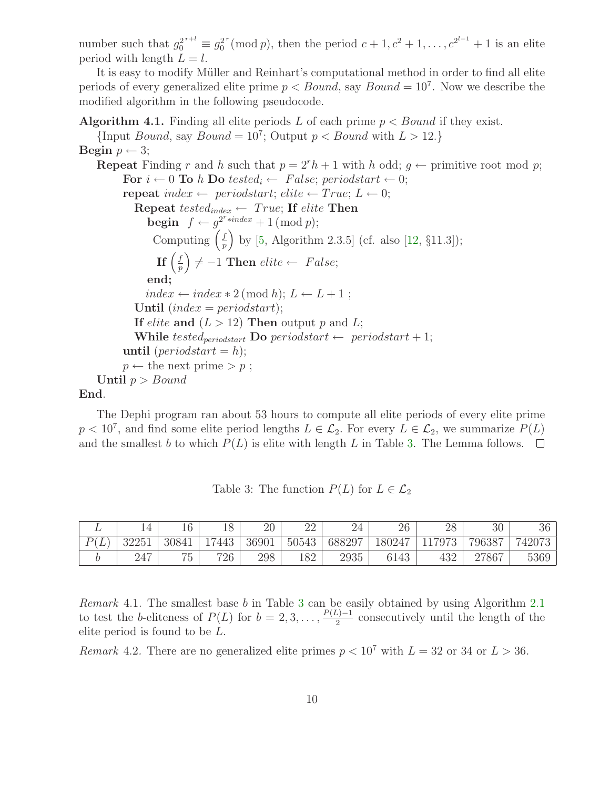number such that  $g_0^{2^{r+l}} \equiv g_0^{2^r}$  $a_0^{2^r}(\text{mod }p),$  then the period  $c+1, c^2+1, ..., c^{2^{l-1}}+1$  is an elite period with length  $L = l$ .

It is easy to modify Müller and Reinhart's computational method in order to find all elite periods of every generalized elite prime  $p < Bound$ , say  $Bound = 10<sup>7</sup>$ . Now we describe the modified algorithm in the following pseudocode.

<span id="page-9-1"></span>Algorithm 4.1. Finding all elite periods L of each prime  $p < Bound$  if they exist.

{Input *Bound*, say *Bound* =  $10^7$ ; Output *p* < *Bound* with *L* > 12.} Begin  $p \leftarrow 3$ ; **Repeat** Finding r and h such that  $p = 2^rh + 1$  with h odd;  $q \leftarrow$  primitive root mod p; For  $i \leftarrow 0$  To h Do tested<sub>i</sub>  $\leftarrow$  False; periodstart  $\leftarrow 0$ ; repeat index  $\leftarrow$  periodstart; elite  $\leftarrow$  True;  $L \leftarrow 0$ ; Repeat  $\textit{tested}_{\textit{index}} \leftarrow \textit{True};$  If  $\textit{elite}$  Then **begin**  $f \leftarrow g^{2^r * index} + 1 \pmod{p};$ Computing  $\left(\frac{f}{n}\right)$  $\frac{f}{p}$  by [\[5,](#page-11-4) Algorithm 2.3.5] (cf. also [\[12,](#page-12-6) §11.3]); If  $\left(\frac{f}{n}\right)$  $\left(\frac{f}{p}\right) \neq -1$  Then  $elite \leftarrow False;$ end;  $index \leftarrow index * 2 \text{ (mod } h); L \leftarrow L + 1;$ Until  $(index = periodstart);$ If elite and  $(L > 12)$  Then output p and L; While tested<sub>periodstart</sub> Do periodstart  $\leftarrow$  periodstart + 1; until (*periodstart* = h);  $p \leftarrow$  the next prime  $> p$ ; Until  $p > Bound$ 

#### End.

The Dephi program ran about 53 hours to compute all elite periods of every elite prime  $p < 10^7$ , and find some elite period lengths  $L \in \mathcal{L}_2$ . For every  $L \in \mathcal{L}_2$ , we summarize  $P(L)$ and the smallest b to which  $P(L)$  is elite with length L in Table [3.](#page-9-0) The Lemma follows.  $\Box$ 

|    |       |           | TO    | $20\,$ | ດດ<br>∠∠ | 24     | 26              | າດ<br>40 | 30     | 36     |
|----|-------|-----------|-------|--------|----------|--------|-----------------|----------|--------|--------|
| D( | 32251 | 30841     | 17443 | 36901  | 50543    | 688297 | 180247          | 7973     | 796387 | 742073 |
|    | 247   | 75<br>ີປະ | 726   | 298    | 182      | 2935   | C 1 1 9<br>6£10 | 432      | 27867  | 5369   |

<span id="page-9-0"></span>Table 3: The function  $P(L)$  for  $L \in \mathcal{L}_2$ 

*Remark* 4.1. The smallest base b in Table [3](#page-9-0) can be easily obtained by using Algorithm [2.1](#page-3-2) to test the b-eliteness of  $P(L)$  for  $b = 2, 3, \ldots, \frac{P(L)-1}{2}$  $\frac{2^{j-1}}{2}$  consecutively until the length of the elite period is found to be L.

Remark 4.2. There are no generalized elite primes  $p < 10^7$  with  $L = 32$  or 34 or  $L > 36$ .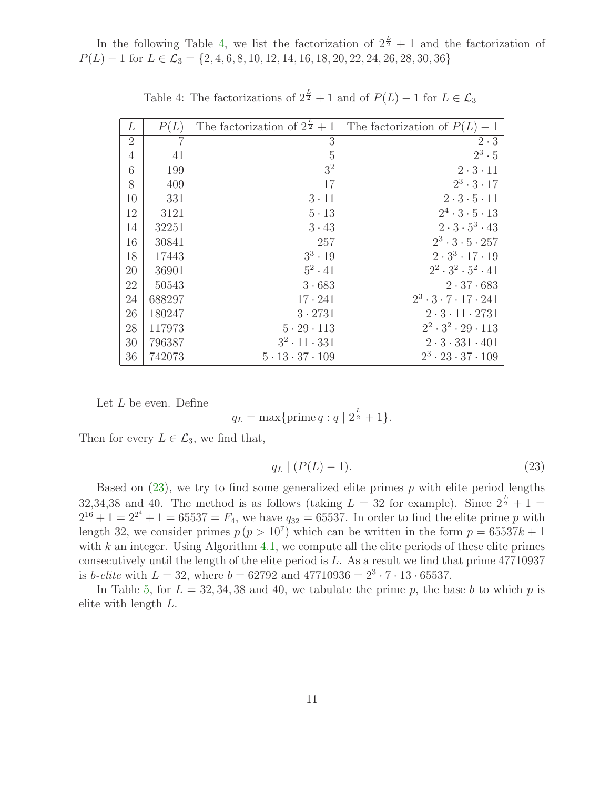In the following Table [4,](#page-10-0) we list the factorization of  $2^{\frac{L}{2}} + 1$  and the factorization of  $P(L) - 1$  for  $L \in \mathcal{L}_3 = \{2, 4, 6, 8, 10, 12, 14, 16, 18, 20, 22, 24, 26, 28, 30, 36\}$ 

| L              | P(L)   | The factorization of $2^{\frac{2}{2}}+1$ | The factorization of $P(L)$              |
|----------------|--------|------------------------------------------|------------------------------------------|
| $\overline{2}$ | 7      | 3                                        | $2 \cdot 3$                              |
| $\overline{4}$ | 41     | 5                                        | $2^3 \cdot 5$                            |
| 6              | 199    | 3 <sup>2</sup>                           | $2 \cdot 3 \cdot 11$                     |
| 8              | 409    | 17                                       | $2^3 \cdot 3 \cdot 17$                   |
| 10             | 331    | $3 \cdot 11$                             | $2 \cdot 3 \cdot 5 \cdot 11$             |
| 12             | 3121   | $5 \cdot 13$                             | $2^4 \cdot 3 \cdot 5 \cdot 13$           |
| 14             | 32251  | $3 \cdot 43$                             | $2\cdot3\cdot5^3\cdot43$                 |
| 16             | 30841  | 257                                      | $2^3 \cdot 3 \cdot 5 \cdot 257$          |
| 18             | 17443  | $3^3 \cdot 19$                           | $2\cdot 3^3\cdot 17\cdot 19$             |
| 20             | 36901  | $5^2 \cdot 41$                           | $2^2 \cdot 3^2 \cdot 5^2 \cdot 41$       |
| 22             | 50543  | 3.683                                    | $2 \cdot 37 \cdot 683$                   |
| 24             | 688297 | $17 \cdot 241$                           | $2^3 \cdot 3 \cdot 7 \cdot 17 \cdot 241$ |
| 26             | 180247 | $3 \cdot 2731$                           | $2 \cdot 3 \cdot 11 \cdot 2731$          |
| 28             | 117973 | $5 \cdot 29 \cdot 113$                   | $2^2 \cdot 3^2 \cdot 29 \cdot 113$       |
| 30             | 796387 | $3^2 \cdot 11 \cdot 331$                 | $2 \cdot 3 \cdot 331 \cdot 401$          |
| 36             | 742073 | $5 \cdot 13 \cdot 37 \cdot 109$          | $2^3 \cdot 23 \cdot 37 \cdot 109$        |

<span id="page-10-0"></span>Table 4: The factorizations of  $2^{\frac{L}{2}} + 1$  and of  $P(L) - 1$  for  $L \in \mathcal{L}_3$ 

Let  $L$  be even. Define

$$
q_L = \max\{\text{prime } q : q \mid 2^{\frac{L}{2}} + 1\}.
$$

<span id="page-10-1"></span>Then for every  $L \in \mathcal{L}_3$ , we find that,

$$
q_L \mid (P(L) - 1). \tag{23}
$$

Based on  $(23)$ , we try to find some generalized elite primes p with elite period lengths 32,34,38 and 40. The method is as follows (taking  $L = 32$  for example). Since  $2^{\frac{L}{2}} + 1 =$  $2^{16} + 1 = 2^{2^4} + 1 = 65537 = F_4$ , we have  $q_{32} = 65537$ . In order to find the elite prime p with length 32, we consider primes  $p (p > 10^7)$  which can be written in the form  $p = 65537k + 1$ with  $k$  an integer. Using Algorithm [4.1,](#page-9-1) we compute all the elite periods of these elite primes consecutively until the length of the elite period is  $L$ . As a result we find that prime 47710937 is *b*-elite with  $L = 32$ , where  $b = 62792$  and  $47710936 = 2^3 \cdot 7 \cdot 13 \cdot 65537$ .

In Table [5,](#page-11-5) for  $L = 32, 34, 38$  and 40, we tabulate the prime p, the base b to which p is elite with length L.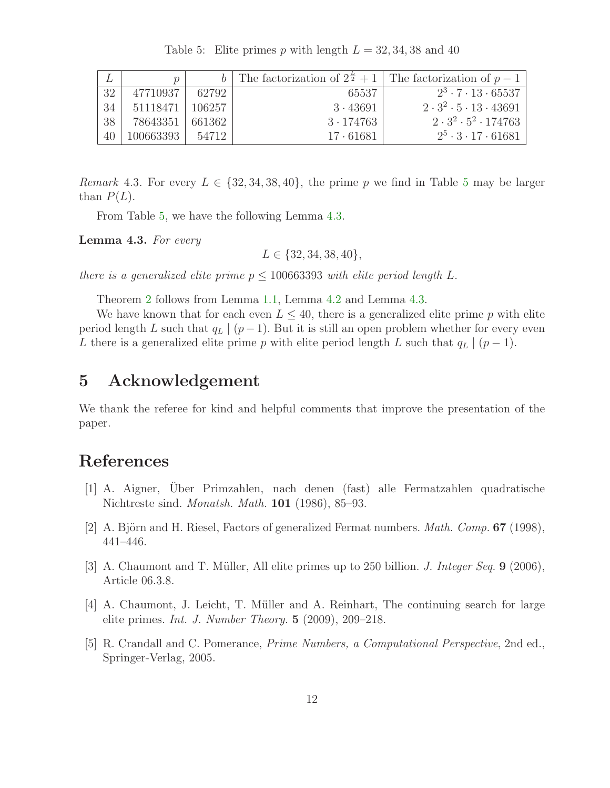|     | $\boldsymbol{\eta}$ |       | b The factorization of $2^{\frac{3}{2}}+1$ The factorization of $p-1$ |                                            |
|-----|---------------------|-------|-----------------------------------------------------------------------|--------------------------------------------|
| 32  | 47710937            | 62792 | 65537                                                                 | $2^3 \cdot 7 \cdot 13 \cdot 65537$         |
| 34  | $51118471$   106257 |       | $3 \cdot 43691$                                                       | $2 \cdot 3^2 \cdot 5 \cdot 13 \cdot 43691$ |
| -38 | 78643351   661362   |       | $3 \cdot 174763$                                                      | $2 \cdot 3^2 \cdot 5^2 \cdot 174763$       |
| 40  | 100663393   54712   |       | $17 \cdot 61681$                                                      | $2^5 \cdot 3 \cdot 17 \cdot 61681$         |

<span id="page-11-5"></span>Table 5: Elite primes p with length  $L = 32, 34, 38$  and 40

Remark 4.3. For every  $L \in \{32, 34, 38, 40\}$ , the prime p we find in Table [5](#page-11-5) may be larger than  $P(L)$ .

From Table [5,](#page-11-5) we have the following Lemma [4.3.](#page-11-6)

<span id="page-11-6"></span>Lemma 4.3. For every

 $L \in \{32, 34, 38, 40\},\$ 

there is a generalized elite prime  $p \leq 100663393$  with elite period length L.

Theorem [2](#page-2-0) follows from Lemma [1.1,](#page-1-2) Lemma [4.2](#page-8-3) and Lemma [4.3.](#page-11-6)

We have known that for each even  $L \leq 40$ , there is a generalized elite prime p with elite period length L such that  $q_L | (p-1)$ . But it is still an open problem whether for every even L there is a generalized elite prime p with elite period length L such that  $q_L | (p-1)$ .

### 5 Acknowledgement

We thank the referee for kind and helpful comments that improve the presentation of the paper.

## <span id="page-11-1"></span>References

- <span id="page-11-0"></span>[1] A. Aigner, Über Primzahlen, nach denen (fast) alle Fermatzahlen quadratische Nichtreste sind. Monatsh. Math. 101 (1986), 85–93.
- <span id="page-11-2"></span>[2] A. Björn and H. Riesel, Factors of generalized Fermat numbers. *Math. Comp.* 67 (1998), 441–446.
- <span id="page-11-3"></span>[3] A. Chaumont and T. Müller, All elite primes up to 250 billion. *J. Integer Seq.* 9 (2006), Article 06.3.8.
- [4] A. Chaumont, J. Leicht, T. M¨uller and A. Reinhart, The continuing search for large elite primes. *Int. J. Number Theory.*  $5$  (2009), 209–218.
- <span id="page-11-4"></span>[5] R. Crandall and C. Pomerance, Prime Numbers, a Computational Perspective, 2nd ed., Springer-Verlag, 2005.